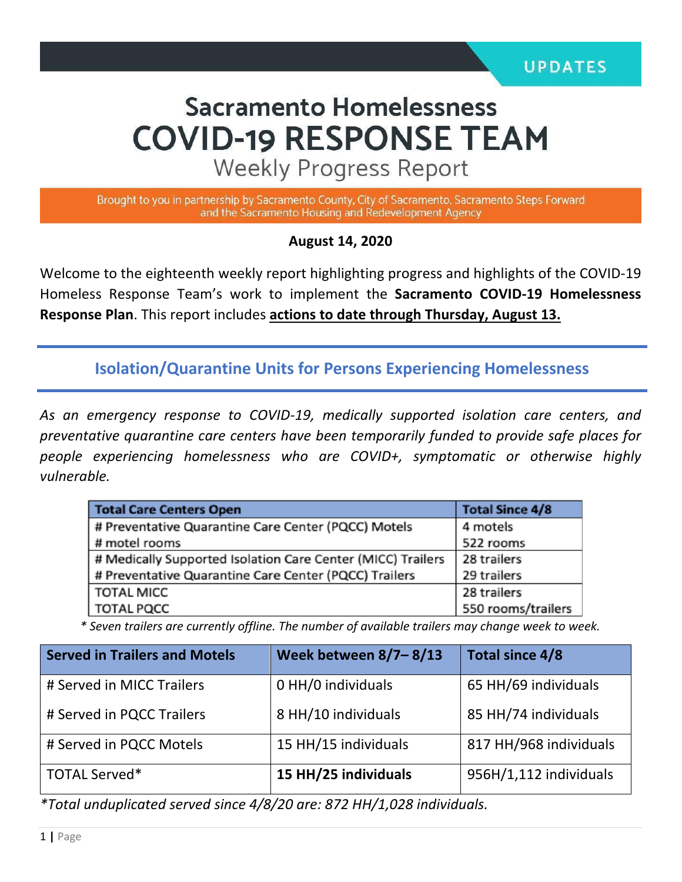# **Sacramento Homelessness COVID-19 RESPONSE TEAM**

**Weekly Progress Report** 

Brought to you in partnership by Sacramento County, City of Sacramento, Sacramento Steps Forward and the Sacramento Housing and Redevelopment Agency

#### **August 14, 2020**

Welcome to the eighteenth weekly report highlighting progress and highlights of the COVID-19 Homeless Response Team's work to implement the **Sacramento COVID-19 Homelessness Response Plan**. This report includes **actions to date through Thursday, August 13.** 

**Isolation/Quarantine Units for Persons Experiencing Homelessness**

*As an emergency response to COVID-19, medically supported isolation care centers, and preventative quarantine care centers have been temporarily funded to provide safe places for people experiencing homelessness who are COVID+, symptomatic or otherwise highly vulnerable.*

| <b>Total Care Centers Open</b>                              | <b>Total Since 4/8</b> |  |
|-------------------------------------------------------------|------------------------|--|
| # Preventative Quarantine Care Center (PQCC) Motels         | 4 motels               |  |
| # motel rooms                                               | 522 rooms              |  |
| # Medically Supported Isolation Care Center (MICC) Trailers | 28 trailers            |  |
| # Preventative Quarantine Care Center (PQCC) Trailers       | 29 trailers            |  |
| <b>TOTAL MICC</b>                                           | 28 trailers            |  |
| <b>TOTAL PQCC</b>                                           | 550 rooms/trailers     |  |

 *\* Seven trailers are currently offline. The number of available trailers may change week to week.*

| <b>Served in Trailers and Motels</b> | Week between $8/7 - 8/13$ | Total since 4/8        |
|--------------------------------------|---------------------------|------------------------|
| # Served in MICC Trailers            | 0 HH/0 individuals        | 65 HH/69 individuals   |
| # Served in PQCC Trailers            | 8 HH/10 individuals       | 85 HH/74 individuals   |
| # Served in PQCC Motels              | 15 HH/15 individuals      | 817 HH/968 individuals |
| <b>TOTAL Served*</b>                 | 15 HH/25 individuals      | 956H/1,112 individuals |

*\*Total unduplicated served since 4/8/20 are: 872 HH/1,028 individuals.*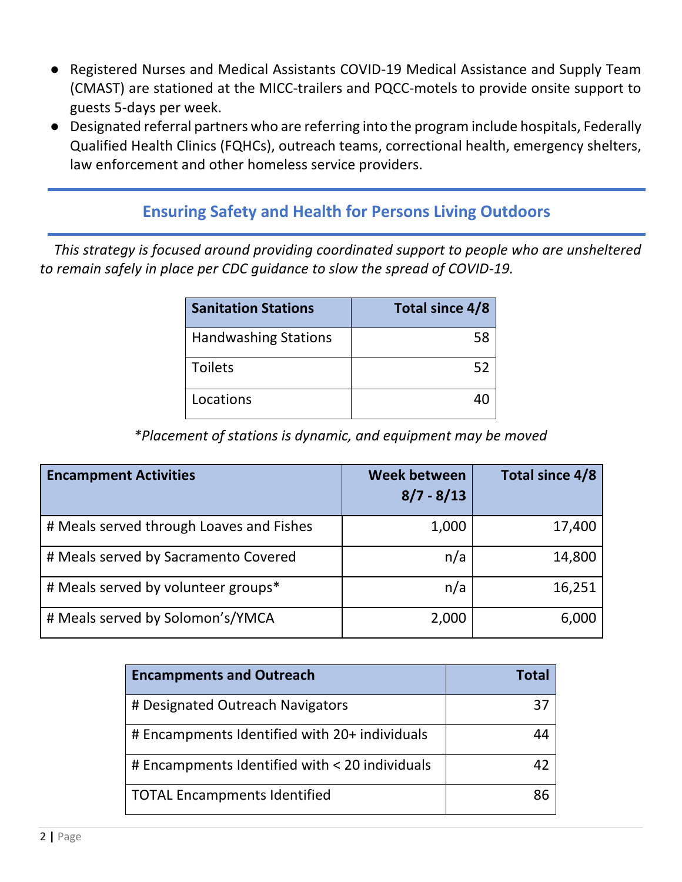- Registered Nurses and Medical Assistants COVID-19 Medical Assistance and Supply Team (CMAST) are stationed at the MICC-trailers and PQCC-motels to provide onsite support to guests 5-days per week.
- Designated referral partners who are referring into the program include hospitals, Federally Qualified Health Clinics (FQHCs), outreach teams, correctional health, emergency shelters, law enforcement and other homeless service providers.

## **Ensuring Safety and Health for Persons Living Outdoors**

 *This strategy is focused around providing coordinated support to people who are unsheltered to remain safely in place per CDC guidance to slow the spread of COVID-19.*

| <b>Sanitation Stations</b>  | <b>Total since 4/8</b> |
|-----------------------------|------------------------|
| <b>Handwashing Stations</b> | 58                     |
| <b>Toilets</b>              | 52                     |
| Locations                   |                        |

*\*Placement of stations is dynamic, and equipment may be moved*

| <b>Encampment Activities</b>             | <b>Week between</b><br>$8/7 - 8/13$ | Total since 4/8 |
|------------------------------------------|-------------------------------------|-----------------|
| # Meals served through Loaves and Fishes | 1,000                               | 17,400          |
| # Meals served by Sacramento Covered     | n/a                                 | 14,800          |
| # Meals served by volunteer groups*      | n/a                                 | 16,251          |
| # Meals served by Solomon's/YMCA         | 2,000                               | 6,000           |

| <b>Encampments and Outreach</b>                | Total |
|------------------------------------------------|-------|
| # Designated Outreach Navigators               | 37    |
| # Encampments Identified with 20+ individuals  | Δ4    |
| # Encampments Identified with < 20 individuals | 47    |
| <b>TOTAL Encampments Identified</b>            | ጸና    |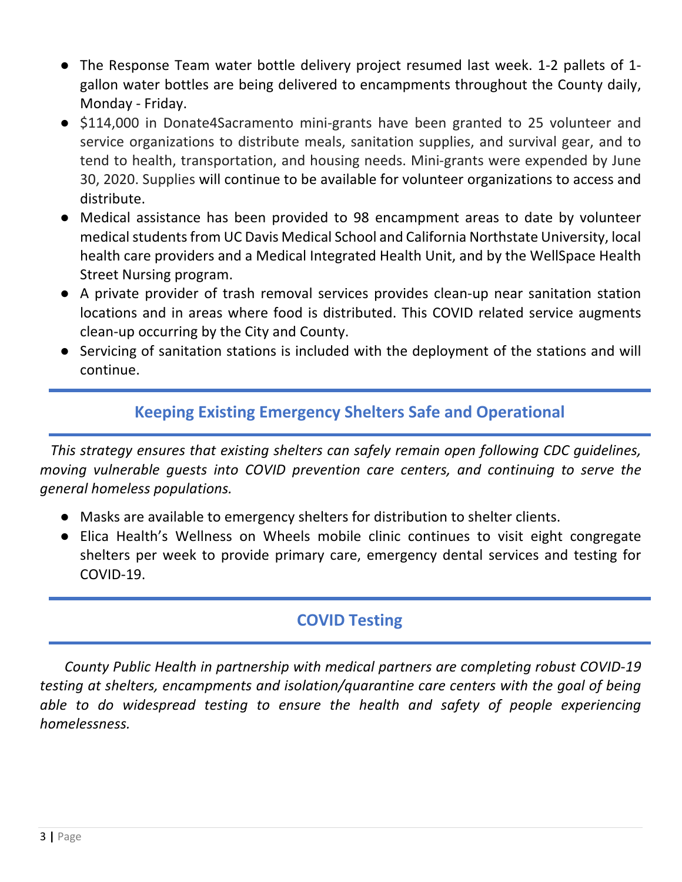- The Response Team water bottle delivery project resumed last week. 1-2 pallets of 1 gallon water bottles are being delivered to encampments throughout the County daily, Monday - Friday.
- \$114,000 in Donate4Sacramento mini-grants have been granted to 25 volunteer and service organizations to distribute meals, sanitation supplies, and survival gear, and to tend to health, transportation, and housing needs. Mini-grants were expended by June 30, 2020. Supplies will continue to be available for volunteer organizations to access and distribute.
- Medical assistance has been provided to 98 encampment areas to date by volunteer medical students from UC Davis Medical School and California Northstate University, local health care providers and a Medical Integrated Health Unit, and by the WellSpace Health Street Nursing program.
- A private provider of trash removal services provides clean-up near sanitation station locations and in areas where food is distributed. This COVID related service augments clean-up occurring by the City and County.
- Servicing of sanitation stations is included with the deployment of the stations and will continue.

# **Keeping Existing Emergency Shelters Safe and Operational**

 *This strategy ensures that existing shelters can safely remain open following CDC guidelines, moving vulnerable guests into COVID prevention care centers, and continuing to serve the general homeless populations.* 

- Masks are available to emergency shelters for distribution to shelter clients.
- Elica Health's Wellness on Wheels mobile clinic continues to visit eight congregate shelters per week to provide primary care, emergency dental services and testing for COVID-19.

# **COVID Testing**

 *County Public Health in partnership with medical partners are completing robust COVID-19 testing at shelters, encampments and isolation/quarantine care centers with the goal of being*  able to do widespread testing to ensure the health and safety of people experiencing *homelessness.*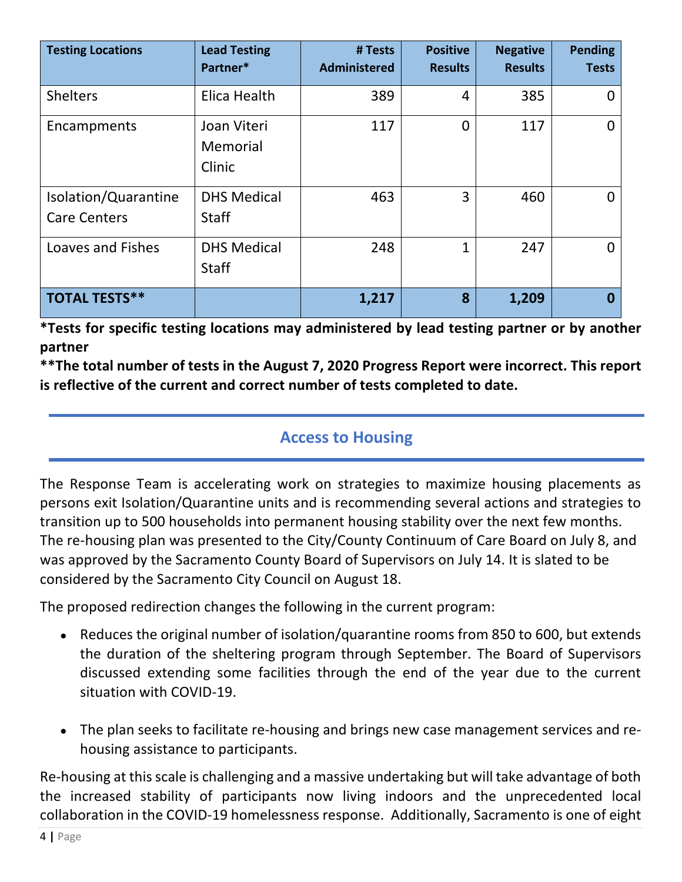| <b>Testing Locations</b>                    | <b>Lead Testing</b><br>Partner*    | # Tests<br><b>Administered</b> | <b>Positive</b><br><b>Results</b> | <b>Negative</b><br><b>Results</b> | <b>Pending</b><br><b>Tests</b> |
|---------------------------------------------|------------------------------------|--------------------------------|-----------------------------------|-----------------------------------|--------------------------------|
| <b>Shelters</b>                             | Elica Health                       | 389                            | 4                                 | 385                               | 0                              |
| Encampments                                 | Joan Viteri<br>Memorial<br>Clinic  | 117                            | $\overline{0}$                    | 117                               | $\Omega$                       |
| Isolation/Quarantine<br><b>Care Centers</b> | <b>DHS Medical</b><br><b>Staff</b> | 463                            | 3                                 | 460                               | 0                              |
| Loaves and Fishes                           | <b>DHS Medical</b><br><b>Staff</b> | 248                            | 1                                 | 247                               | 0                              |
| <b>TOTAL TESTS**</b>                        |                                    | 1,217                          | 8                                 | 1,209                             | Ω                              |

**\*Tests for specific testing locations may administered by lead testing partner or by another partner**

**\*\*The total number of tests in the August 7, 2020 Progress Report were incorrect. This report is reflective of the current and correct number of tests completed to date.**

## **Access to Housing**

The Response Team is accelerating work on strategies to maximize housing placements as persons exit Isolation/Quarantine units and is recommending several actions and strategies to transition up to 500 households into permanent housing stability over the next few months. The re-housing plan was presented to the City/County Continuum of Care Board on July 8, and was approved by the Sacramento County Board of Supervisors on July 14. It is slated to be considered by the Sacramento City Council on August 18.

The proposed redirection changes the following in the current program:

- Reduces the original number of isolation/quarantine rooms from 850 to 600, but extends the duration of the sheltering program through September. The Board of Supervisors discussed extending some facilities through the end of the year due to the current situation with COVID-19.
- The plan seeks to facilitate re-housing and brings new case management services and rehousing assistance to participants.

Re-housing at this scale is challenging and a massive undertaking but will take advantage of both the increased stability of participants now living indoors and the unprecedented local collaboration in the COVID-19 homelessness response. Additionally, Sacramento is one of eight